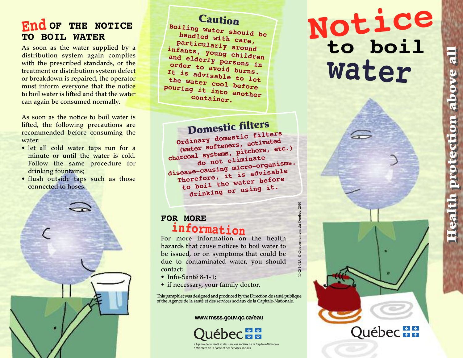# **OF THE NOTICE End TO BOIL WATER**

**As soon as the water supplied by a distribution system again complies with the prescribed standards, or the treatment or distribution system defect or breakdown is repaired, the operator must inform everyone that the notice to boil water is lifted and that the water can again be consumed normally.**

**As soon as the notice to boil water is lifted, the following precautions are recommended before consuming the water:**

- **• let all cold water taps run for a minute or until the water is cold. Follow the same procedure for drinking fountains;**
- **• flush outside taps such as those connected to hoses.**



#### **Caution Boi h l a i n n g water should be d l ed with care, par ticularly around infant and el s , young children d order erly persons in It is advisable to let to avoid burns.** the water cool before **pouring it into another c ontainer.**

# **Domestic filters**

**Ordinary domestic filters (water softeners, activated charcoal systems, pitchers, etc.) do not eliminate disease-causing micro-organisms. Therefore, it is advisable to boil the water before drinking or using it.**

## **FOR MORE information**

**For more information on the health hazards that cause notices to boil water to be issued, or on symptoms that could be due to contaminated water, you should contact:**

**10-281-01A © Gouvernement du Québec, 2010**

281 5

- **• Info-Santé 8-1-1;**
- **• if necessary, your family doctor.**

**ThispamphletwasdesignedandproducedbytheDirectiondesantépublique ofthe Agence de la santé et des services sociaux de la Capitale-Nationale.**

**www.msss.gouv.qc.ca/eau**

**•Agence de la santé et des services sociaux de la Capitale-Nationale •Ministère de la Santé et des Services sociaux**

# **to boil Notice water**

Québec \* \*

**e**

**e**

**all**

**a l l**